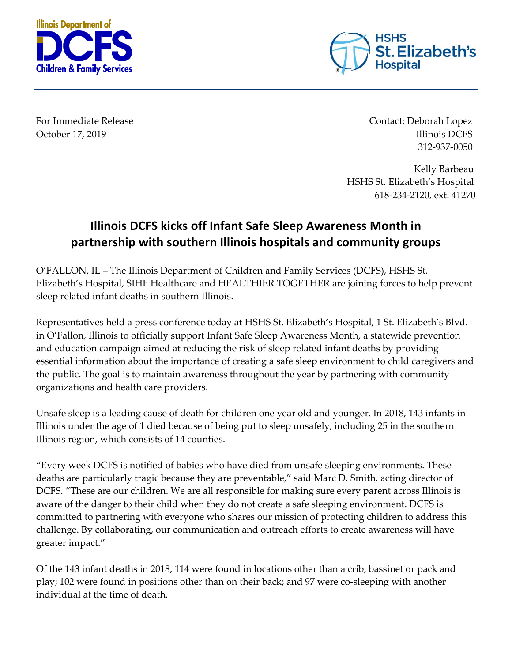



For Immediate Release Contact: Deborah Lopez October 17, 2019 **Illinois DCFS** 312-937-0050

> Kelly Barbeau HSHS St. Elizabeth's Hospital 618-234-2120, ext. 41270

## **Illinois DCFS kicks off Infant Safe Sleep Awareness Month in partnership with southern Illinois hospitals and community groups**

O'FALLON, IL – The Illinois Department of Children and Family Services (DCFS), HSHS St. Elizabeth's Hospital, SIHF Healthcare and HEALTHIER TOGETHER are joining forces to help prevent sleep related infant deaths in southern Illinois.

Representatives held a press conference today at HSHS St. Elizabeth's Hospital, 1 St. Elizabeth's Blvd. in O'Fallon, Illinois to officially support Infant Safe Sleep Awareness Month, a statewide prevention and education campaign aimed at reducing the risk of sleep related infant deaths by providing essential information about the importance of creating a safe sleep environment to child caregivers and the public. The goal is to maintain awareness throughout the year by partnering with community organizations and health care providers.

Unsafe sleep is a leading cause of death for children one year old and younger. In 2018, 143 infants in Illinois under the age of 1 died because of being put to sleep unsafely, including 25 in the southern Illinois region, which consists of 14 counties.

"Every week DCFS is notified of babies who have died from unsafe sleeping environments. These deaths are particularly tragic because they are preventable," said Marc D. Smith, acting director of DCFS. "These are our children. We are all responsible for making sure every parent across Illinois is aware of the danger to their child when they do not create a safe sleeping environment. DCFS is committed to partnering with everyone who shares our mission of protecting children to address this challenge. By collaborating, our communication and outreach efforts to create awareness will have greater impact."

Of the 143 infant deaths in 2018, 114 were found in locations other than a crib, bassinet or pack and play; 102 were found in positions other than on their back; and 97 were co-sleeping with another individual at the time of death.